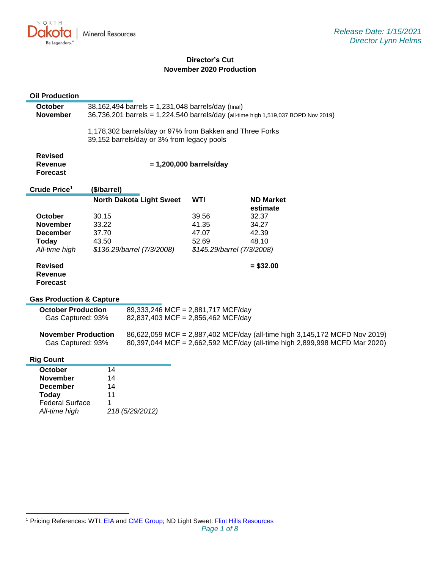

# **Director's Cut November 2020 Production**

# **Oil Production**

| October<br><b>November</b>                          | 38,162,494 barrels = 1,231,048 barrels/day (final)<br>36,736,201 barrels = 1,224,540 barrels/day (all-time high 1,519,037 BOPD Nov 2019) |                                                                                                        |                |                                                                            |  |
|-----------------------------------------------------|------------------------------------------------------------------------------------------------------------------------------------------|--------------------------------------------------------------------------------------------------------|----------------|----------------------------------------------------------------------------|--|
|                                                     |                                                                                                                                          | 1,178,302 barrels/day or 97% from Bakken and Three Forks<br>39,152 barrels/day or 3% from legacy pools |                |                                                                            |  |
| <b>Revised</b><br><b>Revenue</b><br><b>Forecast</b> | $= 1,200,000$ barrels/day                                                                                                                |                                                                                                        |                |                                                                            |  |
| Crude Price <sup>1</sup>                            | (\$/barrel)                                                                                                                              |                                                                                                        |                |                                                                            |  |
|                                                     |                                                                                                                                          | <b>North Dakota Light Sweet</b>                                                                        | <b>WTI</b>     | <b>ND Market</b>                                                           |  |
|                                                     |                                                                                                                                          |                                                                                                        |                | estimate                                                                   |  |
| October                                             | 30.15                                                                                                                                    |                                                                                                        | 39.56          | 32.37                                                                      |  |
| <b>November</b>                                     | 33.22                                                                                                                                    |                                                                                                        | 41.35          | 34.27                                                                      |  |
| <b>December</b>                                     | 37.70<br>43.50                                                                                                                           |                                                                                                        | 47.07<br>52.69 | 42.39<br>48.10                                                             |  |
| <b>Today</b>                                        |                                                                                                                                          |                                                                                                        |                |                                                                            |  |
| All-time high                                       |                                                                                                                                          | \$136.29/barrel (7/3/2008)                                                                             |                | \$145.29/barrel (7/3/2008)                                                 |  |
| <b>Revised</b><br><b>Revenue</b>                    |                                                                                                                                          |                                                                                                        |                | $= $32.00$                                                                 |  |
| <b>Forecast</b>                                     |                                                                                                                                          |                                                                                                        |                |                                                                            |  |
| <b>Gas Production &amp; Capture</b>                 |                                                                                                                                          |                                                                                                        |                |                                                                            |  |
| <b>October Production</b>                           |                                                                                                                                          | 89,333,246 MCF = 2,881,717 MCF/day                                                                     |                |                                                                            |  |
| Gas Captured: 93%                                   |                                                                                                                                          | 82,837,403 MCF = 2,856,462 MCF/day                                                                     |                |                                                                            |  |
| <b>November Production</b>                          |                                                                                                                                          |                                                                                                        |                | 86,622,059 MCF = 2,887,402 MCF/day (all-time high 3,145,172 MCFD Nov 2019) |  |
| Gas Captured: 93%                                   |                                                                                                                                          |                                                                                                        |                | 80,397,044 MCF = 2,662,592 MCF/day (all-time high 2,899,998 MCFD Mar 2020) |  |
| <b>Rig Count</b>                                    |                                                                                                                                          |                                                                                                        |                |                                                                            |  |
| October                                             | 14                                                                                                                                       |                                                                                                        |                |                                                                            |  |
| <b>November</b>                                     | 14                                                                                                                                       |                                                                                                        |                |                                                                            |  |
| <b>December</b>                                     | 14                                                                                                                                       |                                                                                                        |                |                                                                            |  |
| Today                                               | 11                                                                                                                                       |                                                                                                        |                |                                                                            |  |
| <b>Federal Surface</b>                              | 1                                                                                                                                        |                                                                                                        |                |                                                                            |  |
| All-time high                                       | 218 (5/29/2012)                                                                                                                          |                                                                                                        |                |                                                                            |  |
|                                                     |                                                                                                                                          |                                                                                                        |                |                                                                            |  |

<sup>&</sup>lt;sup>1</sup> Pricing References: WTI: [EIA](https://www.eia.gov/dnav/pet/hist/LeafHandler.ashx?n=PET&s=RCLC1&f=M) and [CME Group;](https://www.cmegroup.com/trading/energy/crude-oil/light-sweet-crude.html) ND Light Sweet: [Flint Hills Resources](https://www.fhr.com/products-services/fuels-and-aromatics)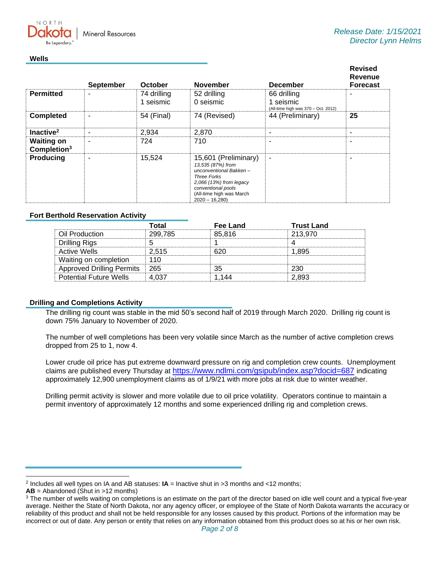

#### **Wells**

NORTH

|                                              | <b>September</b> | October                  | <b>November</b>                                                                                                                                                                           | <b>December</b>                                                 | <b>Revised</b><br>Revenue<br><b>Forecast</b> |
|----------------------------------------------|------------------|--------------------------|-------------------------------------------------------------------------------------------------------------------------------------------------------------------------------------------|-----------------------------------------------------------------|----------------------------------------------|
| <b>Permitted</b>                             | -                | 74 drilling<br>1 seismic | 52 drilling<br>0 seismic                                                                                                                                                                  | 66 drilling<br>1 seismic<br>(All-time high was 370 - Oct. 2012) |                                              |
| <b>Completed</b>                             | ۰                | 54 (Final)               | 74 (Revised)                                                                                                                                                                              | 44 (Preliminary)                                                | 25                                           |
| Inactive <sup>2</sup>                        | ۰                | 2,934                    | 2,870                                                                                                                                                                                     | ٠                                                               |                                              |
| <b>Waiting on</b><br>Completion <sup>3</sup> | ۰                | 724                      | 710                                                                                                                                                                                       | ۰                                                               |                                              |
| <b>Producing</b>                             | ۰                | 15,524                   | 15,601 (Preliminary)<br>13,535 (87%) from<br>unconventional Bakken-<br><b>Three Forks</b><br>2,066 (13%) from legacy<br>conventional pools<br>(All-time high was March<br>$2020 - 16,280$ | $\blacksquare$                                                  |                                              |

## **Fort Berthold Reservation Activity**

|                                  | Total   | Fee Land | <b>Trust Land</b> |
|----------------------------------|---------|----------|-------------------|
| Oil Production                   | 299,785 | 85.816   | 213.970           |
| Drilling Rigs                    |         |          |                   |
| Active Wells                     | 2.515   |          | .895              |
| Waiting on completion            |         |          |                   |
| <b>Approved Drilling Permits</b> | ∣ 265   | つら       | ววก               |
| <b>Potential Future Wells</b>    |         |          | 2 893             |

## **Drilling and Completions Activity**

The drilling rig count was stable in the mid 50's second half of 2019 through March 2020. Drilling rig count is down 75% January to November of 2020.

The number of well completions has been very volatile since March as the number of active completion crews dropped from 25 to 1, now 4.

Lower crude oil price has put extreme downward pressure on rig and completion crew counts. Unemployment claims are published every Thursday at [https://www.ndlmi.com/gsipub/index.asp?docid=687](https://gcc02.safelinks.protection.outlook.com/?url=https%3A%2F%2Fwww.ndlmi.com%2Fgsipub%2Findex.asp%3Fdocid%3D687&data=04%7C01%7Ckahaarsager%40nd.gov%7C6928b6351bcb4a1a121b08d8b9647a47%7C2dea0464da514a88bae2b3db94bc0c54%7C0%7C0%7C637463188508258841%7CUnknown%7CTWFpbGZsb3d8eyJWIjoiMC4wLjAwMDAiLCJQIjoiV2luMzIiLCJBTiI6Ik1haWwiLCJXVCI6Mn0%3D%7C1000&sdata=5LZcR5e%2BsXcR1z7AepHBWKUr9aCQlNgtJ%2BwmPePqM%2Bo%3D&reserved=0) indicating approximately 12,900 unemployment claims as of 1/9/21 with more jobs at risk due to winter weather.

Drilling permit activity is slower and more volatile due to oil price volatility. Operators continue to maintain a permit inventory of approximately 12 months and some experienced drilling rig and completion crews.

<sup>2</sup> Includes all well types on IA and AB statuses: **IA** = Inactive shut in >3 months and <12 months;

**AB** = Abandoned (Shut in >12 months)

<sup>&</sup>lt;sup>3</sup> The number of wells waiting on completions is an estimate on the part of the director based on idle well count and a typical five-year average. Neither the State of North Dakota, nor any agency officer, or employee of the State of North Dakota warrants the accuracy or reliability of this product and shall not be held responsible for any losses caused by this product. Portions of the information may be incorrect or out of date. Any person or entity that relies on any information obtained from this product does so at his or her own risk.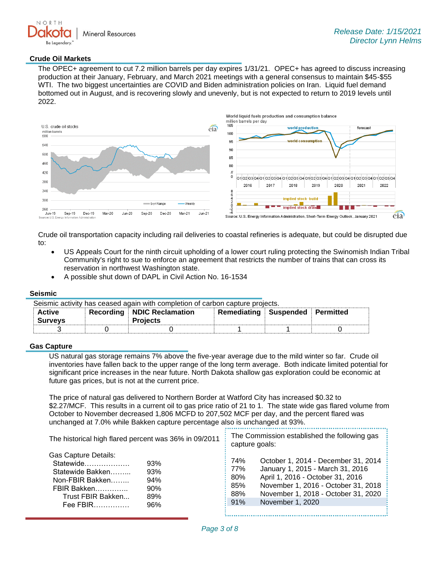

## **Crude Oil Markets**

The OPEC+ agreement to cut 7.2 million barrels per day expires 1/31/21. OPEC+ has agreed to discuss increasing production at their January, February, and March 2021 meetings with a general consensus to maintain \$45-\$55 WTI. The two biggest uncertainties are COVID and Biden administration policies on Iran. Liquid fuel demand bottomed out in August, and is recovering slowly and unevenly, but is not expected to return to 2019 levels until 2022.



Crude oil transportation capacity including rail deliveries to coastal refineries is adequate, but could be disrupted due to:

- US Appeals Court for the ninth circuit upholding of a lower court ruling protecting the Swinomish Indian Tribal Community's right to sue to enforce an agreement that restricts the number of trains that can cross its reservation in northwest Washington state.
- A possible shut down of DAPL in Civil Action No. 16-1534

#### **Seismic**

| Seismic activity has ceased again with completion of carbon capture projects. |  |                              |                                 |  |  |
|-------------------------------------------------------------------------------|--|------------------------------|---------------------------------|--|--|
| <b>Active</b>                                                                 |  | Recording   NDIC Reclamation | Remediating Suspended Permitted |  |  |
| <b>Surveys</b>                                                                |  | <b>Projects</b>              |                                 |  |  |
|                                                                               |  |                              |                                 |  |  |

#### **Gas Capture**

US natural gas storage remains 7% above the five-year average due to the mild winter so far. Crude oil inventories have fallen back to the upper range of the long term average. Both indicate limited potential for significant price increases in the near future. North Dakota shallow gas exploration could be economic at future gas prices, but is not at the current price.

The price of natural gas delivered to Northern Border at Watford City has increased \$0.32 to \$2.27/MCF. This results in a current oil to gas price ratio of 21 to 1. The state wide gas flared volume from October to November decreased 1,806 MCFD to 207,502 MCF per day, and the percent flared was unchanged at 7.0% while Bakken capture percentage also is unchanged at 93%.

| The historical high flared percent was 36% in 09/2011                                                                                                                     | The Commission established the following gas<br>capture goals:                                                                                                                                                                                                        |  |  |
|---------------------------------------------------------------------------------------------------------------------------------------------------------------------------|-----------------------------------------------------------------------------------------------------------------------------------------------------------------------------------------------------------------------------------------------------------------------|--|--|
| <b>Gas Capture Details:</b><br>Statewide<br>93%<br>Statewide Bakken<br>93%<br>94%<br>Non-FBIR Bakken<br>FBIR Bakken<br>90%<br>Trust FBIR Bakken<br>89%<br>96%<br>Fee FBIR | October 1, 2014 - December 31, 2014<br>74%<br>January 1, 2015 - March 31, 2016<br>$\frac{1}{2}$ 77%<br>April 1, 2016 - October 31, 2016<br>80%<br>November 1, 2016 - October 31, 2018<br>85%<br>November 1, 2018 - October 31, 2020<br>88%<br>91%<br>November 1, 2020 |  |  |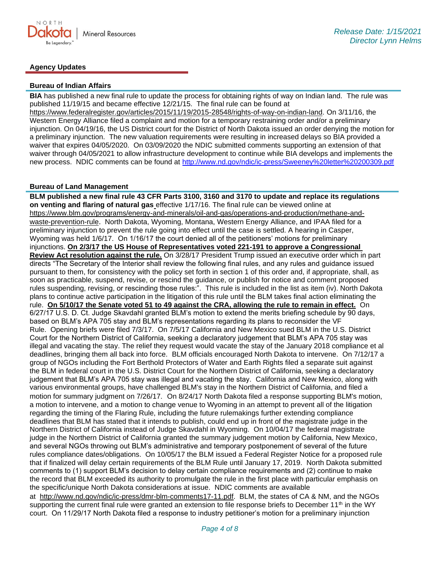

# **Agency Updates**

#### **Bureau of Indian Affairs**

**BIA** has published a new final rule to update the process for obtaining rights of way on Indian land. The rule was published 11/19/15 and became effective 12/21/15. The final rule can be found at [https://www.federalregister.gov/articles/2015/11/19/2015-28548/rights-of-way-on-indian-land.](https://gcc02.safelinks.protection.outlook.com/?url=https%3A%2F%2Fwww.federalregister.gov%2Farticles%2F2015%2F11%2F19%2F2015-28548%2Frights-of-way-on-indian-land&data=04%7C01%7Ckahaarsager%40nd.gov%7C6928b6351bcb4a1a121b08d8b9647a47%7C2dea0464da514a88bae2b3db94bc0c54%7C0%7C0%7C637463188508268796%7CUnknown%7CTWFpbGZsb3d8eyJWIjoiMC4wLjAwMDAiLCJQIjoiV2luMzIiLCJBTiI6Ik1haWwiLCJXVCI6Mn0%3D%7C1000&sdata=a5l0ZWxiv927whetB9b%2F6DI4m6QOmSlIFot7WWc%2FKto%3D&reserved=0) On 3/11/16, the Western Energy Alliance filed a complaint and motion for a temporary restraining order and/or a preliminary injunction. On 04/19/16, the US District court for the District of North Dakota issued an order denying the motion for a preliminary injunction. The new valuation requirements were resulting in increased delays so BIA provided a waiver that expires 04/05/2020. On 03/09/2020 the NDIC submitted comments supporting an extension of that waiver through 04/05/2021 to allow infrastructure development to continue while BIA develops and implements the new process. NDIC comments can be found at<http://www.nd.gov/ndic/ic-press/Sweeney%20letter%20200309.pdf>

## **Bureau of Land Management**

**BLM published a new final rule 43 CFR Parts 3100, 3160 and 3170 to update and replace its regulations on venting and flaring of natural gas** effective 1/17/16. The final rule can be viewed online at [https://www.blm.gov/programs/energy-and-minerals/oil-and-gas/operations-and-production/methane-and](https://gcc02.safelinks.protection.outlook.com/?url=https%3A%2F%2Fwww.blm.gov%2Fprograms%2Fenergy-and-minerals%2Foil-and-gas%2Foperations-and-production%2Fmethane-and-waste-prevention-rule&data=04%7C01%7Ckahaarsager%40nd.gov%7C6928b6351bcb4a1a121b08d8b9647a47%7C2dea0464da514a88bae2b3db94bc0c54%7C0%7C0%7C637463188508268796%7CUnknown%7CTWFpbGZsb3d8eyJWIjoiMC4wLjAwMDAiLCJQIjoiV2luMzIiLCJBTiI6Ik1haWwiLCJXVCI6Mn0%3D%7C1000&sdata=90Vwt7ftXWRIBAgd65ZbZd2b5CXLLie7e1X9FkprClw%3D&reserved=0)[waste-prevention-rule](https://gcc02.safelinks.protection.outlook.com/?url=https%3A%2F%2Fwww.blm.gov%2Fprograms%2Fenergy-and-minerals%2Foil-and-gas%2Foperations-and-production%2Fmethane-and-waste-prevention-rule&data=04%7C01%7Ckahaarsager%40nd.gov%7C6928b6351bcb4a1a121b08d8b9647a47%7C2dea0464da514a88bae2b3db94bc0c54%7C0%7C0%7C637463188508268796%7CUnknown%7CTWFpbGZsb3d8eyJWIjoiMC4wLjAwMDAiLCJQIjoiV2luMzIiLCJBTiI6Ik1haWwiLCJXVCI6Mn0%3D%7C1000&sdata=90Vwt7ftXWRIBAgd65ZbZd2b5CXLLie7e1X9FkprClw%3D&reserved=0). North Dakota, Wyoming, Montana, Western Energy Alliance, and IPAA filed for a preliminary injunction to prevent the rule going into effect until the case is settled. A hearing in Casper, Wyoming was held 1/6/17. On 1/16/17 the court denied all of the petitioners' motions for preliminary injunctions. **On 2/3/17 the US House of Representatives voted 221-191 to approve a Congressional Review Act resolution against the rule.** On 3/28/17 President Trump issued an executive order which in part directs "The Secretary of the Interior shall review the following final rules, and any rules and guidance issued pursuant to them, for consistency with the policy set forth in section 1 of this order and, if appropriate, shall, as soon as practicable, suspend, revise, or rescind the guidance, or publish for notice and comment proposed rules suspending, revising, or rescinding those rules:". This rule is included in the list as item (iv). North Dakota plans to continue active participation in the litigation of this rule until the BLM takes final action eliminating the rule. **On 5/10/17 the Senate voted 51 to 49 against the CRA, allowing the rule to remain in effect.** On 6/27/17 U.S. D. Ct. Judge Skavdahl granted BLM's motion to extend the merits briefing schedule by 90 days, based on BLM's APA 705 stay and BLM's representations regarding its plans to reconsider the VF Rule. Opening briefs were filed 7/3/17. On 7/5/17 California and New Mexico sued BLM in the U.S. District Court for the Northern District of California, seeking a declaratory judgement that BLM's APA 705 stay was illegal and vacating the stay. The relief they request would vacate the stay of the January 2018 compliance et al deadlines, bringing them all back into force. BLM officials encouraged North Dakota to intervene. On 7/12/17 a group of NGOs including the Fort Berthold Protectors of Water and Earth Rights filed a separate suit against the BLM in federal court in the U.S. District Court for the Northern District of California, seeking a declaratory judgement that BLM's APA 705 stay was illegal and vacating the stay. California and New Mexico, along with various environmental groups, have challenged BLM's stay in the Northern District of California, and filed a motion for summary judgment on 7/26/17. On 8/24/17 North Dakota filed a response supporting BLM's motion, a motion to intervene, and a motion to change venue to Wyoming in an attempt to prevent all of the litigation regarding the timing of the Flaring Rule, including the future rulemakings further extending compliance deadlines that BLM has stated that it intends to publish, could end up in front of the magistrate judge in the Northern District of California instead of Judge Skavdahl in Wyoming. On 10/04/17 the federal magistrate judge in the Northern District of California granted the summary judgement motion by California, New Mexico, and several NGOs throwing out BLM's administrative and temporary postponement of several of the future rules compliance dates/obligations. On 10/05/17 the BLM issued a Federal Register Notice for a proposed rule that if finalized will delay certain requirements of the BLM Rule until January 17, 2019. North Dakota submitted comments to (1) support BLM's decision to delay certain compliance requirements and (2) continue to make the record that BLM exceeded its authority to promulgate the rule in the first place with particular emphasis on the specific/unique North Dakota considerations at issue. NDIC comments are available at [http://www.nd.gov/ndic/ic-press/dmr-blm-comments17-11.pdf.](http://www.nd.gov/ndic/ic-press/dmr-blm-comments17-11.pdf) BLM, the states of CA & NM, and the NGOs supporting the current final rule were granted an extension to file response briefs to December 11<sup>th</sup> in the WY court. On 11/29/17 North Dakota filed a response to industry petitioner's motion for a preliminary injunction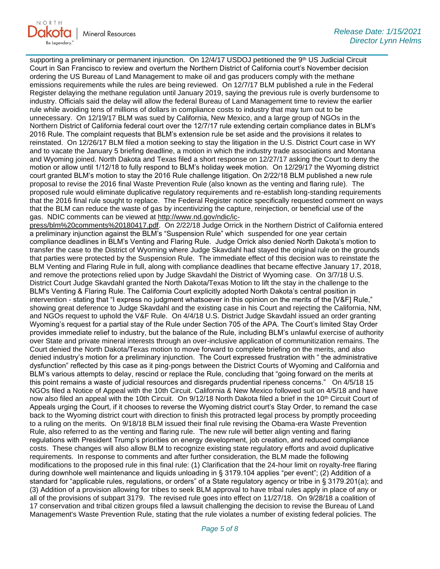

supporting a preliminary or permanent injunction. On 12/4/17 USDOJ petitioned the 9th US Judicial Circuit Court in San Francisco to review and overturn the Northern District of California court's November decision ordering the US Bureau of Land Management to make oil and gas producers comply with the methane emissions requirements while the rules are being reviewed. On 12/7/17 BLM published a rule in the Federal Register delaying the methane regulation until January 2019, saying the previous rule is overly burdensome to industry. Officials said the delay will allow the federal Bureau of Land Management time to review the earlier rule while avoiding tens of millions of dollars in compliance costs to industry that may turn out to be unnecessary. On 12/19/17 BLM was sued by California, New Mexico, and a large group of NGOs in the Northern District of California federal court over the 12/7/17 rule extending certain compliance dates in BLM's 2016 Rule. The complaint requests that BLM's extension rule be set aside and the provisions it relates to reinstated. On 12/26/17 BLM filed a motion seeking to stay the litigation in the U.S. District Court case in WY and to vacate the January 5 briefing deadline, a motion in which the industry trade associations and Montana and Wyoming joined. North Dakota and Texas filed a short response on 12/27/17 asking the Court to deny the motion or allow until 1/12/18 to fully respond to BLM's holiday week motion. On 12/29/17 the Wyoming district court granted BLM's motion to stay the 2016 Rule challenge litigation. On 2/22/18 BLM published a new rule proposal to revise the 2016 final Waste Prevention Rule (also known as the venting and flaring rule). The proposed rule would eliminate duplicative regulatory requirements and re-establish long-standing requirements that the 2016 final rule sought to replace. The Federal Register notice specifically requested comment on ways that the BLM can reduce the waste of gas by incentivizing the capture, reinjection, or beneficial use of the gas. NDIC comments can be viewed at [http://www.nd.gov/ndic/ic-](http://www.nd.gov/ndic/ic-press/blm%20comments%20180417.pdf)

[press/blm%20comments%20180417.pdf.](http://www.nd.gov/ndic/ic-press/blm%20comments%20180417.pdf) On 2/22/18 Judge Orrick in the Northern District of California entered a preliminary injunction against the BLM's "Suspension Rule" which suspended for one year certain compliance deadlines in BLM's Venting and Flaring Rule. Judge Orrick also denied North Dakota's motion to transfer the case to the District of Wyoming where Judge Skavdahl had stayed the original rule on the grounds that parties were protected by the Suspension Rule. The immediate effect of this decision was to reinstate the BLM Venting and Flaring Rule in full, along with compliance deadlines that became effective January 17, 2018, and remove the protections relied upon by Judge Skavdahl the District of Wyoming case. On 3/7/18 U.S. District Court Judge Skavdahl granted the North Dakota/Texas Motion to lift the stay in the challenge to the BLM's Venting & Flaring Rule. The California Court explicitly adopted North Dakota's central position in intervention - stating that "I express no judgment whatsoever in this opinion on the merits of the [V&F] Rule," showing great deference to Judge Skavdahl and the existing case in his Court and rejecting the California, NM, and NGOs request to uphold the V&F Rule. On 4/4/18 U.S. District Judge Skavdahl issued an order granting Wyoming's request for a partial stay of the Rule under Section 705 of the APA. The Court's limited Stay Order provides immediate relief to industry, but the balance of the Rule, including BLM's unlawful exercise of authority over State and private mineral interests through an over-inclusive application of communitization remains. The Court denied the North Dakota/Texas motion to move forward to complete briefing on the merits, and also denied industry's motion for a preliminary injunction. The Court expressed frustration with " the administrative dysfunction" reflected by this case as it ping-pongs between the District Courts of Wyoming and California and BLM's various attempts to delay, rescind or replace the Rule, concluding that "going forward on the merits at this point remains a waste of judicial resources and disregards prudential ripeness concerns." On 4/5/18 15 NGOs filed a Notice of Appeal with the 10th Circuit. California & New Mexico followed suit on 4/5/18 and have now also filed an appeal with the 10th Circuit. On 9/12/18 North Dakota filed a brief in the 10<sup>th</sup> Circuit Court of Appeals urging the Court, if it chooses to reverse the Wyoming district court's Stay Order, to remand the case back to the Wyoming district court with direction to finish this protracted legal process by promptly proceeding to a ruling on the merits. On 9/18/18 BLM issued their final rule revising the Obama-era Waste Prevention Rule, also referred to as the venting and flaring rule. The new rule will better align venting and flaring regulations with President Trump's priorities on energy development, job creation, and reduced compliance costs. These changes will also allow BLM to recognize existing state regulatory efforts and avoid duplicative requirements. In response to comments and after further consideration, the BLM made the following modifications to the proposed rule in this final rule: (1) Clarification that the 24-hour limit on royalty-free flaring during downhole well maintenance and liquids unloading in § 3179.104 applies "per event"; (2) Addition of a standard for "applicable rules, regulations, or orders" of a State regulatory agency or tribe in § 3179.201(a); and (3) Addition of a provision allowing for tribes to seek BLM approval to have tribal rules apply in place of any or all of the provisions of subpart 3179. The revised rule goes into effect on 11/27/18. On 9/28/18 a coalition of 17 conservation and tribal citizen groups filed a lawsuit challenging the decision to revise the Bureau of Land Management's Waste Prevention Rule, stating that the rule violates a number of existing federal policies. The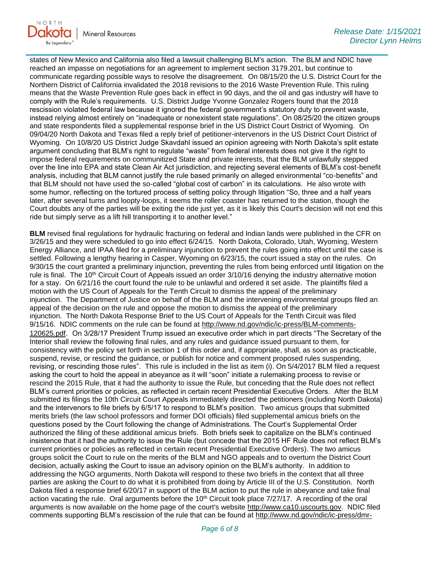

states of New Mexico and California also filed a lawsuit challenging BLM's action. The BLM and NDIC have reached an impasse on negotiations for an agreement to implement section 3179.201, but continue to communicate regarding possible ways to resolve the disagreement. On 08/15/20 the U.S. District Court for the Northern District of California invalidated the 2018 revisions to the 2016 Waste Prevention Rule. This ruling means that the Waste Prevention Rule goes back in effect in 90 days, and the oil and gas industry will have to comply with the Rule's requirements. U.S. District Judge Yvonne Gonzalez Rogers found that the 2018 rescission violated federal law because it ignored the federal government's statutory duty to prevent waste, instead relying almost entirely on "inadequate or nonexistent state regulations". On 08/25/20 the citizen groups and state respondents filed a supplemental response brief in the US District Court District of Wyoming. On 09/04/20 North Dakota and Texas filed a reply brief of petitioner-intervenors in the US District Court District of Wyoming. On 10/8/20 US District Judge Skavdahl issued an opinion agreeing with North Dakota's split estate argument concluding that BLM's right to regulate "waste" from federal interests does not give it the right to impose federal requirements on communitized State and private interests, that the BLM unlawfully stepped over the line into EPA and state Clean Air Act jurisdiction, and rejecting several elements of BLM's cost-benefit analysis, including that BLM cannot justify the rule based primarily on alleged environmental "co-benefits" and that BLM should not have used the so-called "global cost of carbon" in its calculations. He also wrote with some humor, reflecting on the tortured process of setting policy through litigation "So, three and a half years later, after several turns and loopty-loops, it seems the roller coaster has returned to the station, though the Court doubts any of the parties will be exiting the ride just yet, as it is likely this Court's decision will not end this ride but simply serve as a lift hill transporting it to another level."

**BLM** revised final regulations for hydraulic fracturing on federal and Indian lands were published in the CFR on 3/26/15 and they were scheduled to go into effect 6/24/15. North Dakota, Colorado, Utah, Wyoming, Western Energy Alliance, and IPAA filed for a preliminary injunction to prevent the rules going into effect until the case is settled. Following a lengthy hearing in Casper, Wyoming on 6/23/15, the court issued a stay on the rules. On 9/30/15 the court granted a preliminary injunction, preventing the rules from being enforced until litigation on the rule is final. The 10<sup>th</sup> Circuit Court of Appeals issued an order  $3/10/16$  denying the industry alternative motion for a stay. On 6/21/16 the court found the rule to be unlawful and ordered it set aside. The plaintiffs filed a motion with the US Court of Appeals for the Tenth Circuit to dismiss the appeal of the preliminary injunction. The Department of Justice on behalf of the BLM and the intervening environmental groups filed an appeal of the decision on the rule and oppose the motion to dismiss the appeal of the preliminary injunction. The North Dakota Response Brief to the US Court of Appeals for the Tenth Circuit was filed 9/15/16. NDIC comments on the rule can be found at [http://www.nd.gov/ndic/ic-press/BLM-comments-](http://www.nd.gov/ndic/ic-press/BLM-comments-120625.pdf)[120625.pdf](http://www.nd.gov/ndic/ic-press/BLM-comments-120625.pdf). On 3/28/17 President Trump issued an executive order which in part directs "The Secretary of the Interior shall review the following final rules, and any rules and guidance issued pursuant to them, for consistency with the policy set forth in section 1 of this order and, if appropriate, shall, as soon as practicable, suspend, revise, or rescind the guidance, or publish for notice and comment proposed rules suspending, revising, or rescinding those rules". This rule is included in the list as item (i). On 5/4/2017 BLM filed a request asking the court to hold the appeal in abeyance as it will "soon" initiate a rulemaking process to revise or rescind the 2015 Rule, that it had the authority to issue the Rule, but conceding that the Rule does not reflect BLM's current priorities or policies, as reflected in certain recent Presidential Executive Orders. After the BLM submitted its filings the 10th Circuit Court Appeals immediately directed the petitioners (including North Dakota) and the intervenors to file briefs by 6/5/17 to respond to BLM's position. Two amicus groups that submitted merits briefs (the law school professors and former DOI officials) filed supplemental amicus briefs on the questions posed by the Court following the change of Administrations. The Court's Supplemental Order authorized the filing of these additional amicus briefs. Both briefs seek to capitalize on the BLM's continued insistence that it had the authority to issue the Rule (but concede that the 2015 HF Rule does not reflect BLM's current priorities or policies as reflected in certain recent Presidential Executive Orders). The two amicus groups solicit the Court to rule on the merits of the BLM and NGO appeals and to overturn the District Court decision, actually asking the Court to issue an advisory opinion on the BLM's authority. In addition to addressing the NGO arguments, North Dakota will respond to these two briefs in the context that all three parties are asking the Court to do what it is prohibited from doing by Article III of the U.S. Constitution. North Dakota filed a response brief 6/20/17 in support of the BLM action to put the rule in abeyance and take final action vacating the rule. Oral arguments before the  $10<sup>th</sup>$  Circuit took place  $7/27/17$ . A recording of the oral arguments is now available on the home page of the court's website [http://www.ca10.uscourts.gov.](https://gcc02.safelinks.protection.outlook.com/?url=https%3A%2F%2Furldefense.proofpoint.com%2Fv2%2Furl%3Fu%3Dhttp-3A__www.ca10.uscourts.gov%26d%3DDwMGaQ%26c%3D2s2mvbfY0UoSKkl6_Ol9wg%26r%3D-wqsZnBxny594KY8HeElow%26m%3DUl_VtJUX6iW5pvHjCcBxUWtskC0F4Dhry3sPtcEHvCw%26s%3DlaRHiLDv5w8otcQWQjpn82WMieoB2AZ-Q4M1LFQPL5s%26e%3D&data=04%7C01%7Ckahaarsager%40nd.gov%7C6928b6351bcb4a1a121b08d8b9647a47%7C2dea0464da514a88bae2b3db94bc0c54%7C0%7C0%7C637463188508278753%7CUnknown%7CTWFpbGZsb3d8eyJWIjoiMC4wLjAwMDAiLCJQIjoiV2luMzIiLCJBTiI6Ik1haWwiLCJXVCI6Mn0%3D%7C1000&sdata=i9JN8PVmkXA6XI0Y%2BHTvDEnmquU0PEYK2EF1zcobhZc%3D&reserved=0) NDIC filed comments supporting BLM's rescission of the rule that can be found at [http://www.nd.gov/ndic/ic-press/dmr-](http://www.nd.gov/ndic/ic-press/dmr-blm-comment17-9.pdf)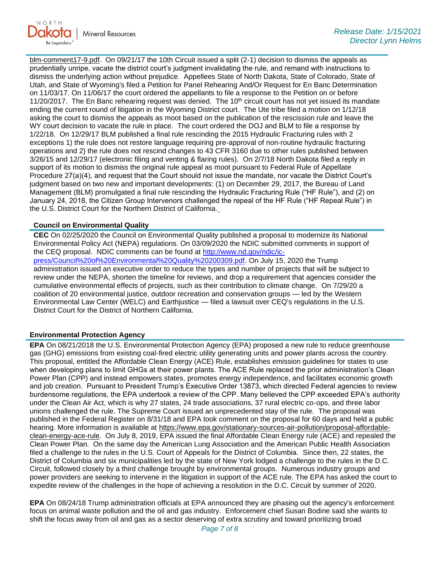

[blm-comment17-9.pdf.](http://www.nd.gov/ndic/ic-press/dmr-blm-comment17-9.pdf) On 09/21/17 the 10th Circuit issued a split (2-1) decision to dismiss the appeals as prudentially unripe, vacate the district court's judgment invalidating the rule, and remand with instructions to dismiss the underlying action without prejudice. Appellees State of North Dakota, State of Colorado, State of Utah, and State of Wyoming's filed a Petition for Panel Rehearing And/Or Request for En Banc Determination on 11/03/17. On 11/06/17 the court ordered the appellants to file a response to the Petition on or before 11/20/2017. The En Banc rehearing request was denied. The  $10<sup>th</sup>$  circuit court has not yet issued its mandate ending the current round of litigation in the Wyoming District court. The Ute tribe filed a motion on 1/12/18 asking the court to dismiss the appeals as moot based on the publication of the rescission rule and leave the WY court decision to vacate the rule in place. The court ordered the DOJ and BLM to file a response by 1/22/18. On 12/29/17 BLM published a final rule rescinding the 2015 Hydraulic Fracturing rules with 2 exceptions 1) the rule does not restore language requiring pre-approval of non-routine hydraulic fracturing operations and 2) the rule does not rescind changes to 43 CFR 3160 due to other rules published between 3/26/15 and 12/29/17 (electronic filing and venting & flaring rules). On 2/7/18 North Dakota filed a reply in support of its motion to dismiss the original rule appeal as moot pursuant to Federal Rule of Appellate Procedure 27(a)(4), and request that the Court should not issue the mandate, nor vacate the District Court's judgment based on two new and important developments: (1) on December 29, 2017, the Bureau of Land Management (BLM) promulgated a final rule rescinding the Hydraulic Fracturing Rule ("HF Rule"), and (2) on January 24, 2018, the Citizen Group Intervenors challenged the repeal of the HF Rule ("HF Repeal Rule") in the U.S. District Court for the Northern District of California.

## **Council on Environmental Quality**

**CEC** On 02/25/2020 the Council on Environmental Quality published a proposal to modernize its National Environmental Policy Act (NEPA) regulations. On 03/09/2020 the NDIC submitted comments in support of the CEQ proposal. NDIC comments can be found at [http://www.nd.gov/ndic/ic](http://www.nd.gov/ndic/ic-press/Council%20of%20Environmental%20Quality%20200309.pdf)[press/Council%20of%20Environmental%20Quality%20200309.pdf](http://www.nd.gov/ndic/ic-press/Council%20of%20Environmental%20Quality%20200309.pdf). On July 15, 2020 the Trump administration issued an executive order to reduce the types and number of projects that will be subject to review under the NEPA, shorten the timeline for reviews, and drop a requirement that agencies consider the cumulative environmental effects of projects, such as their contribution to climate change. On 7/29/20 a coalition of 20 environmental justice, outdoor recreation and conservation groups — led by the Western Environmental Law Center (WELC) and Earthjustice — filed a lawsuit over CEQ's regulations in the U.S. District Court for the District of Northern California.

## **Environmental Protection Agency**

**EPA** On 08/21/2018 the U.S. Environmental Protection Agency (EPA) proposed a new rule to reduce greenhouse gas (GHG) emissions from existing coal-fired electric utility generating units and power plants across the country. This proposal, entitled the Affordable Clean Energy (ACE) Rule, establishes emission guidelines for states to use when developing plans to limit GHGs at their power plants. The ACE Rule replaced the prior administration's Clean Power Plan (CPP) and instead empowers states, promotes energy independence, and facilitates economic growth and job creation. Pursuant to President Trump's Executive Order 13873, which directed Federal agencies to review burdensome regulations, the EPA undertook a review of the CPP. Many believed the CPP exceeded EPA's authority under the Clean Air Act, which is why 27 states, 24 trade associations, 37 rural electric co-ops, and three labor unions challenged the rule. The Supreme Court issued an unprecedented stay of the rule. The proposal was published in the Federal Register on 8/31/18 and EPA took comment on the proposal for 60 days and held a public hearing. More information is available at [https://www.epa.gov/stationary-sources-air-pollution/proposal-affordable](https://gcc02.safelinks.protection.outlook.com/?url=https%3A%2F%2Fwww.epa.gov%2Fstationary-sources-air-pollution%2Fproposal-affordable-clean-energy-ace-rule&data=04%7C01%7Ckahaarsager%40nd.gov%7C6928b6351bcb4a1a121b08d8b9647a47%7C2dea0464da514a88bae2b3db94bc0c54%7C0%7C0%7C637463188508278753%7CUnknown%7CTWFpbGZsb3d8eyJWIjoiMC4wLjAwMDAiLCJQIjoiV2luMzIiLCJBTiI6Ik1haWwiLCJXVCI6Mn0%3D%7C1000&sdata=sNEtmbicwPsQ5kqzUjKlTFrLsSBzSSPnyqanRh1%2BqdQ%3D&reserved=0)[clean-energy-ace-rule.](https://gcc02.safelinks.protection.outlook.com/?url=https%3A%2F%2Fwww.epa.gov%2Fstationary-sources-air-pollution%2Fproposal-affordable-clean-energy-ace-rule&data=04%7C01%7Ckahaarsager%40nd.gov%7C6928b6351bcb4a1a121b08d8b9647a47%7C2dea0464da514a88bae2b3db94bc0c54%7C0%7C0%7C637463188508278753%7CUnknown%7CTWFpbGZsb3d8eyJWIjoiMC4wLjAwMDAiLCJQIjoiV2luMzIiLCJBTiI6Ik1haWwiLCJXVCI6Mn0%3D%7C1000&sdata=sNEtmbicwPsQ5kqzUjKlTFrLsSBzSSPnyqanRh1%2BqdQ%3D&reserved=0) On July 8, 2019, EPA issued the final Affordable Clean Energy rule (ACE) and repealed the Clean Power Plan. On the same day the American Lung Association and the American Public Health Association filed a challenge to the rules in the U.S. Court of Appeals for the District of Columbia. Since then, 22 states, the District of Columbia and six municipalities led by the state of New York lodged a challenge to the rules in the D.C. Circuit, followed closely by a third challenge brought by environmental groups. Numerous industry groups and power providers are seeking to intervene in the litigation in support of the ACE rule. The EPA has asked the court to expedite review of the challenges in the hope of achieving a resolution in the D.C. Circuit by summer of 2020.

**EPA** On 08/24/18 Trump administration officials at EPA announced they are phasing out the agency's enforcement focus on animal waste pollution and the oil and gas industry. Enforcement chief Susan Bodine said she wants to shift the focus away from oil and gas as a sector deserving of extra scrutiny and toward prioritizing broad